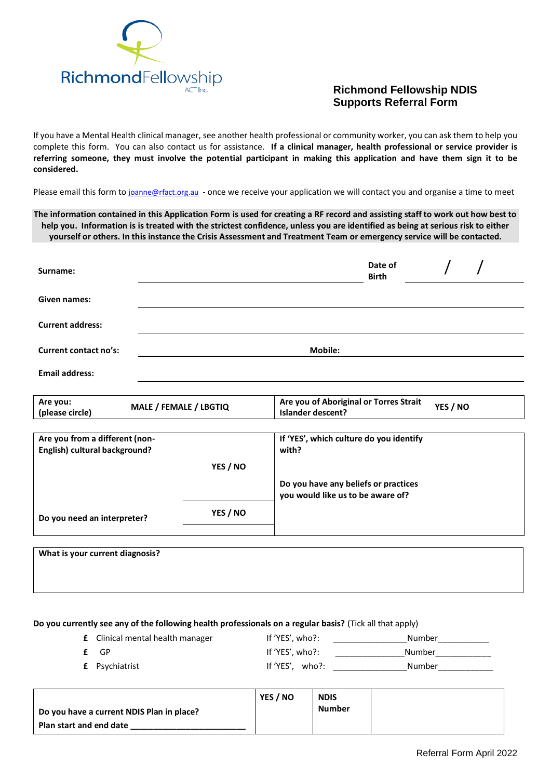

## **Richmond Fellowship NDIS Supports Referral Form**

If you have a Mental Health clinical manager, see another health professional or community worker, you can ask them to help you complete this form. You can also contact us for assistance. **If a clinical manager, health professional or service provider is referring someone, they must involve the potential participant in making this application and have them sign it to be considered.**

Please email this form to [joanne@rfact.org.au](mailto:joanne@rfact.org.au) - once we receive your application we will contact you and organise a time to meet

**The information contained in this Application Form is used for creating a RF record and assisting staff to work out how best to help you. Information is is treated with the strictest confidence, unless you are identified as being at serious risk to either yourself or others. In this instance the Crisis Assessment and Treatment Team or emergency service will be contacted.**

| Surname:                     | Date of<br><b>Birth</b> |  |  |
|------------------------------|-------------------------|--|--|
| <b>Given names:</b>          |                         |  |  |
| <b>Current address:</b>      |                         |  |  |
| <b>Current contact no's:</b> | <b>Mobile:</b>          |  |  |
| <b>Email address:</b>        |                         |  |  |

| Are you of Aboriginal or Torres Strait<br>Are you:<br><b>MALE / FEMALE / LBGTIO</b><br>(please circle)<br><b>Islander descent?</b> | YES / NO |
|------------------------------------------------------------------------------------------------------------------------------------|----------|
|------------------------------------------------------------------------------------------------------------------------------------|----------|

| Are you from a different (non- |          | If 'YES', which culture do you identify                                   |  |
|--------------------------------|----------|---------------------------------------------------------------------------|--|
| English) cultural background?  |          | with?                                                                     |  |
|                                | YES / NO |                                                                           |  |
|                                |          | Do you have any beliefs or practices<br>you would like us to be aware of? |  |
| Do you need an interpreter?    | YES / NO |                                                                           |  |

| What is your current diagnosis? |  |  |
|---------------------------------|--|--|
|                                 |  |  |
|                                 |  |  |

## **Do you currently see any of the following health professionals on a regular basis?** (Tick all that apply)

| <b>£</b> Clinical mental health manager | If 'YES', who?: | Number |
|-----------------------------------------|-----------------|--------|
| $f$ GP                                  | If 'YES', who?: | Number |
| <b>£</b> Psychiatrist                   | If 'YES', who?: | Number |

|                                           | YES / NO | <b>NDIS</b> |  |
|-------------------------------------------|----------|-------------|--|
| Do you have a current NDIS Plan in place? |          | Number      |  |
| Plan start and end date                   |          |             |  |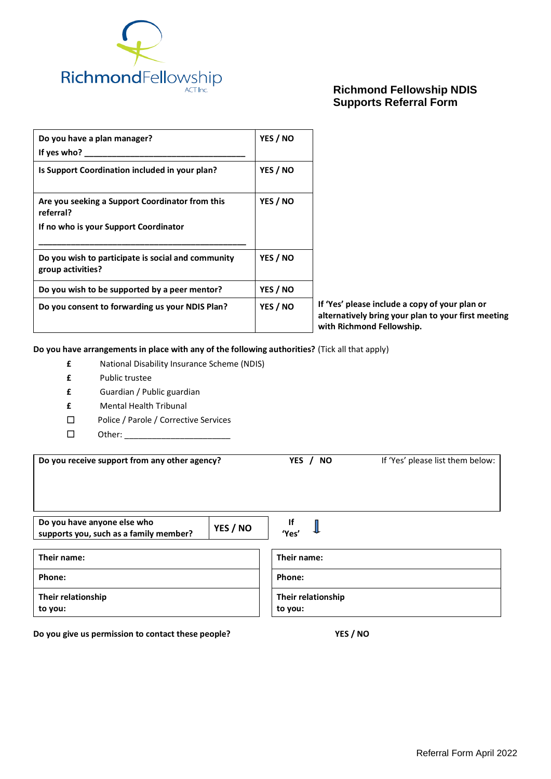

## **Richmond Fellowship NDIS Supports Referral Form**

| Do you have a plan manager?<br>If yes who?                                                            | YES / NO |                                                                                                                                    |
|-------------------------------------------------------------------------------------------------------|----------|------------------------------------------------------------------------------------------------------------------------------------|
| Is Support Coordination included in your plan?                                                        | YES / NO |                                                                                                                                    |
| Are you seeking a Support Coordinator from this<br>referral?<br>If no who is your Support Coordinator | YES / NO |                                                                                                                                    |
| Do you wish to participate is social and community<br>group activities?                               | YES / NO |                                                                                                                                    |
| Do you wish to be supported by a peer mentor?                                                         | YES / NO |                                                                                                                                    |
| Do you consent to forwarding us your NDIS Plan?                                                       | YES / NO | If 'Yes' please include a copy of your plan or<br>alternatively bring your plan to your first meeting<br>with Richmond Fellowship. |

**Do you have arrangements in place with any of the following authorities?** (Tick all that apply)

- **£** National Disability Insurance Scheme (NDIS)
- **£** Public trustee
- **£** Guardian / Public guardian
- **£** Mental Health Tribunal
- □ Police / Parole / Corrective Services
- Other: \_\_\_\_\_\_\_\_\_\_\_\_\_\_\_\_\_\_\_\_\_\_\_

| Do you receive support from any other agency?                                     | YES / NO           | If 'Yes' please list them below: |  |
|-----------------------------------------------------------------------------------|--------------------|----------------------------------|--|
| Do you have anyone else who<br>YES / NO<br>supports you, such as a family member? | <b>If</b><br>'Yes' |                                  |  |
| Their name:                                                                       | Their name:        |                                  |  |
| Phone:                                                                            | Phone:             |                                  |  |
| Their relationship                                                                | Their relationship |                                  |  |

**to you:**

**Do you give us permission to contact these people? YES / NO**

**to you:**